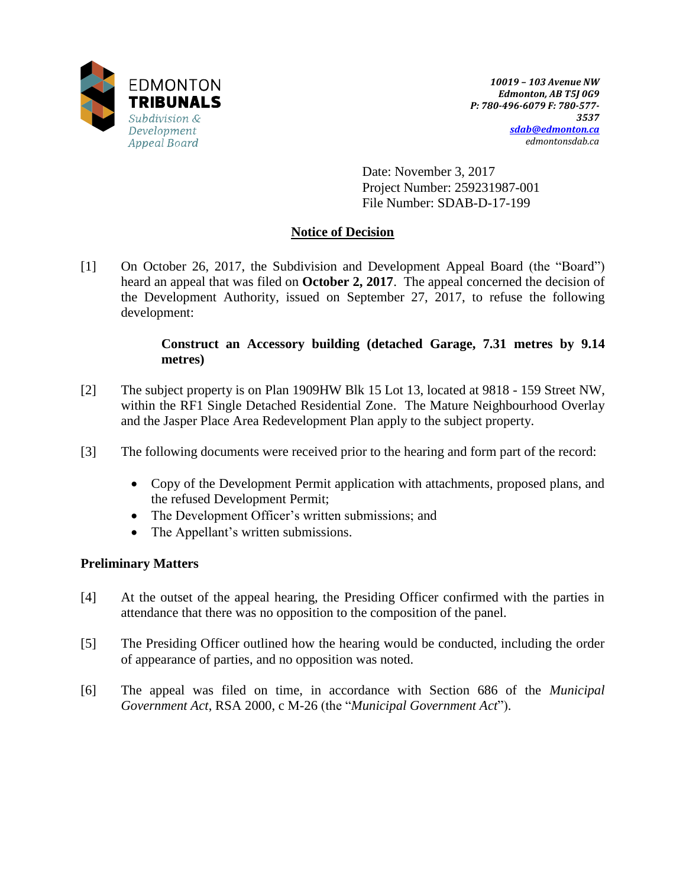

Date: November 3, 2017 Project Number: 259231987-001 File Number: SDAB-D-17-199

# **Notice of Decision**

[1] On October 26, 2017, the Subdivision and Development Appeal Board (the "Board") heard an appeal that was filed on **October 2, 2017**. The appeal concerned the decision of the Development Authority, issued on September 27, 2017, to refuse the following development:

## **Construct an Accessory building (detached Garage, 7.31 metres by 9.14 metres)**

- [2] The subject property is on Plan 1909HW Blk 15 Lot 13, located at 9818 159 Street NW, within the RF1 Single Detached Residential Zone. The Mature Neighbourhood Overlay and the Jasper Place Area Redevelopment Plan apply to the subject property.
- [3] The following documents were received prior to the hearing and form part of the record:
	- Copy of the Development Permit application with attachments, proposed plans, and the refused Development Permit;
	- The Development Officer's written submissions; and
	- The Appellant's written submissions.

## **Preliminary Matters**

- [4] At the outset of the appeal hearing, the Presiding Officer confirmed with the parties in attendance that there was no opposition to the composition of the panel.
- [5] The Presiding Officer outlined how the hearing would be conducted, including the order of appearance of parties, and no opposition was noted.
- [6] The appeal was filed on time, in accordance with Section 686 of the *Municipal Government Act*, RSA 2000, c M-26 (the "*Municipal Government Act*").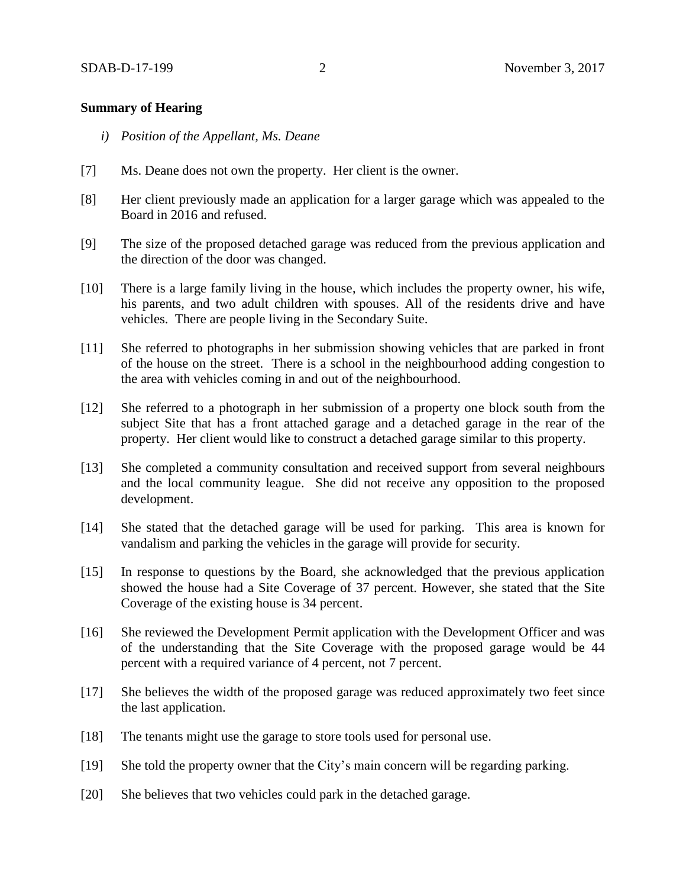#### **Summary of Hearing**

- *i) Position of the Appellant, Ms. Deane*
- [7] Ms. Deane does not own the property. Her client is the owner.
- [8] Her client previously made an application for a larger garage which was appealed to the Board in 2016 and refused.
- [9] The size of the proposed detached garage was reduced from the previous application and the direction of the door was changed.
- [10] There is a large family living in the house, which includes the property owner, his wife, his parents, and two adult children with spouses. All of the residents drive and have vehicles. There are people living in the Secondary Suite.
- [11] She referred to photographs in her submission showing vehicles that are parked in front of the house on the street. There is a school in the neighbourhood adding congestion to the area with vehicles coming in and out of the neighbourhood.
- [12] She referred to a photograph in her submission of a property one block south from the subject Site that has a front attached garage and a detached garage in the rear of the property. Her client would like to construct a detached garage similar to this property.
- [13] She completed a community consultation and received support from several neighbours and the local community league. She did not receive any opposition to the proposed development.
- [14] She stated that the detached garage will be used for parking. This area is known for vandalism and parking the vehicles in the garage will provide for security.
- [15] In response to questions by the Board, she acknowledged that the previous application showed the house had a Site Coverage of 37 percent. However, she stated that the Site Coverage of the existing house is 34 percent.
- [16] She reviewed the Development Permit application with the Development Officer and was of the understanding that the Site Coverage with the proposed garage would be 44 percent with a required variance of 4 percent, not 7 percent.
- [17] She believes the width of the proposed garage was reduced approximately two feet since the last application.
- [18] The tenants might use the garage to store tools used for personal use.
- [19] She told the property owner that the City's main concern will be regarding parking.
- [20] She believes that two vehicles could park in the detached garage.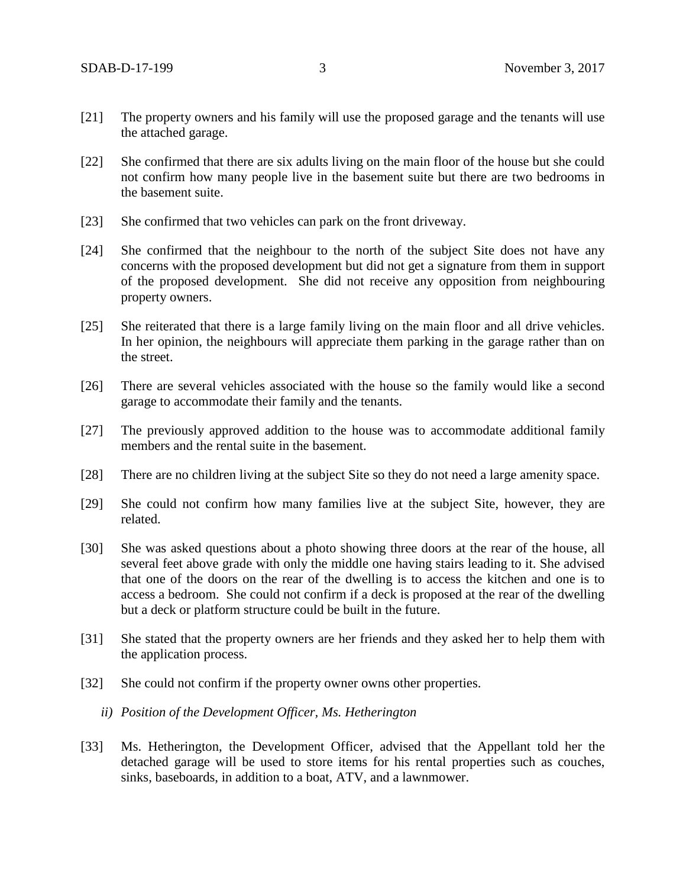- [21] The property owners and his family will use the proposed garage and the tenants will use the attached garage.
- [22] She confirmed that there are six adults living on the main floor of the house but she could not confirm how many people live in the basement suite but there are two bedrooms in the basement suite.
- [23] She confirmed that two vehicles can park on the front driveway.
- [24] She confirmed that the neighbour to the north of the subject Site does not have any concerns with the proposed development but did not get a signature from them in support of the proposed development. She did not receive any opposition from neighbouring property owners.
- [25] She reiterated that there is a large family living on the main floor and all drive vehicles. In her opinion, the neighbours will appreciate them parking in the garage rather than on the street.
- [26] There are several vehicles associated with the house so the family would like a second garage to accommodate their family and the tenants.
- [27] The previously approved addition to the house was to accommodate additional family members and the rental suite in the basement.
- [28] There are no children living at the subject Site so they do not need a large amenity space.
- [29] She could not confirm how many families live at the subject Site, however, they are related.
- [30] She was asked questions about a photo showing three doors at the rear of the house, all several feet above grade with only the middle one having stairs leading to it. She advised that one of the doors on the rear of the dwelling is to access the kitchen and one is to access a bedroom. She could not confirm if a deck is proposed at the rear of the dwelling but a deck or platform structure could be built in the future.
- [31] She stated that the property owners are her friends and they asked her to help them with the application process.
- [32] She could not confirm if the property owner owns other properties.
	- *ii) Position of the Development Officer, Ms. Hetherington*
- [33] Ms. Hetherington, the Development Officer, advised that the Appellant told her the detached garage will be used to store items for his rental properties such as couches, sinks, baseboards, in addition to a boat, ATV, and a lawnmower.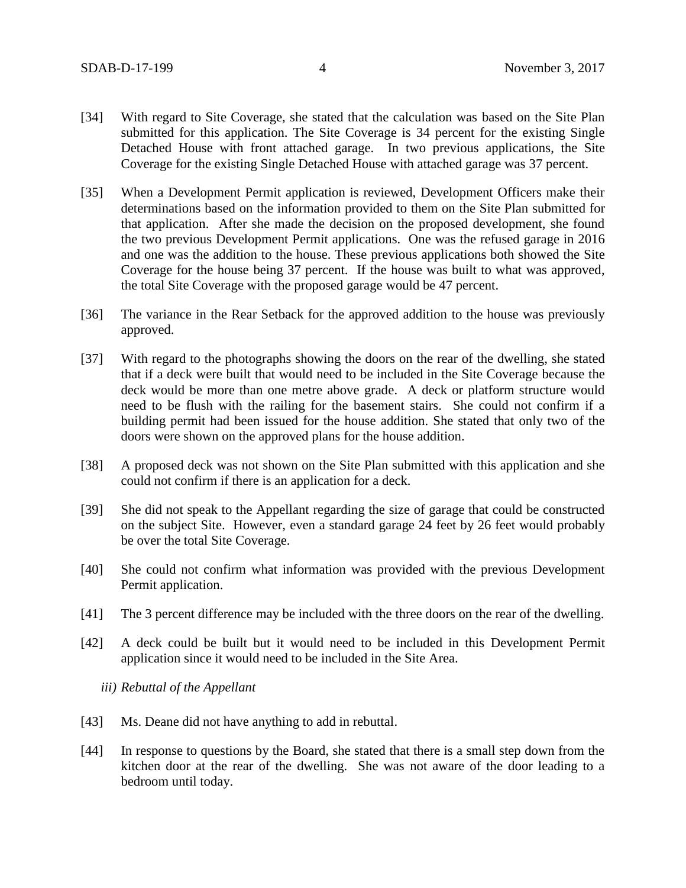- [34] With regard to Site Coverage, she stated that the calculation was based on the Site Plan submitted for this application. The Site Coverage is 34 percent for the existing Single Detached House with front attached garage. In two previous applications, the Site Coverage for the existing Single Detached House with attached garage was 37 percent.
- [35] When a Development Permit application is reviewed, Development Officers make their determinations based on the information provided to them on the Site Plan submitted for that application. After she made the decision on the proposed development, she found the two previous Development Permit applications. One was the refused garage in 2016 and one was the addition to the house. These previous applications both showed the Site Coverage for the house being 37 percent. If the house was built to what was approved, the total Site Coverage with the proposed garage would be 47 percent.
- [36] The variance in the Rear Setback for the approved addition to the house was previously approved.
- [37] With regard to the photographs showing the doors on the rear of the dwelling, she stated that if a deck were built that would need to be included in the Site Coverage because the deck would be more than one metre above grade. A deck or platform structure would need to be flush with the railing for the basement stairs. She could not confirm if a building permit had been issued for the house addition. She stated that only two of the doors were shown on the approved plans for the house addition.
- [38] A proposed deck was not shown on the Site Plan submitted with this application and she could not confirm if there is an application for a deck.
- [39] She did not speak to the Appellant regarding the size of garage that could be constructed on the subject Site. However, even a standard garage 24 feet by 26 feet would probably be over the total Site Coverage.
- [40] She could not confirm what information was provided with the previous Development Permit application.
- [41] The 3 percent difference may be included with the three doors on the rear of the dwelling.
- [42] A deck could be built but it would need to be included in this Development Permit application since it would need to be included in the Site Area.

*iii) Rebuttal of the Appellant*

- [43] Ms. Deane did not have anything to add in rebuttal.
- [44] In response to questions by the Board, she stated that there is a small step down from the kitchen door at the rear of the dwelling. She was not aware of the door leading to a bedroom until today.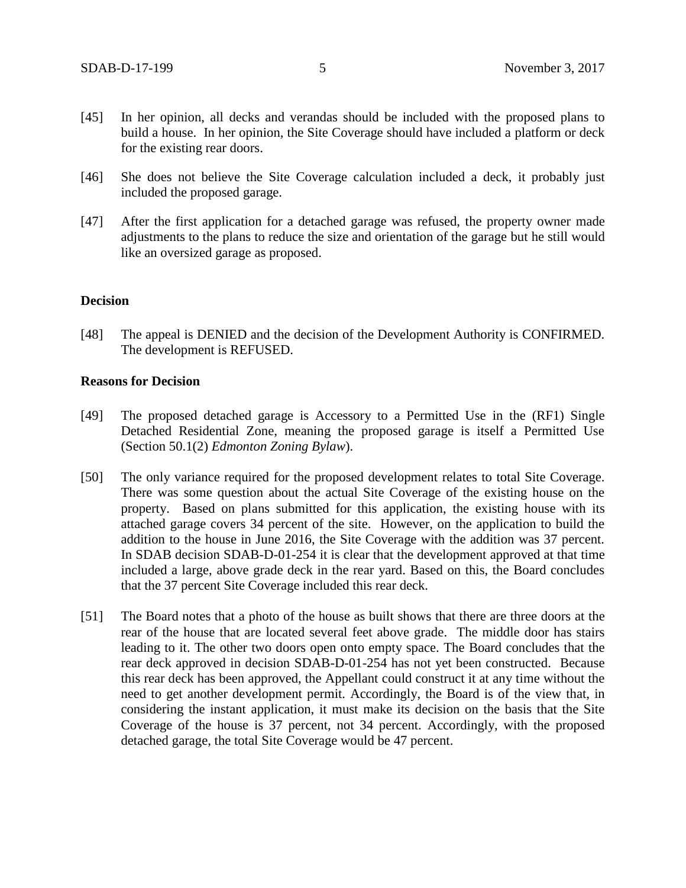- [45] In her opinion, all decks and verandas should be included with the proposed plans to build a house. In her opinion, the Site Coverage should have included a platform or deck for the existing rear doors.
- [46] She does not believe the Site Coverage calculation included a deck, it probably just included the proposed garage.
- [47] After the first application for a detached garage was refused, the property owner made adjustments to the plans to reduce the size and orientation of the garage but he still would like an oversized garage as proposed.

#### **Decision**

[48] The appeal is DENIED and the decision of the Development Authority is CONFIRMED. The development is REFUSED.

#### **Reasons for Decision**

- [49] The proposed detached garage is Accessory to a Permitted Use in the (RF1) Single Detached Residential Zone, meaning the proposed garage is itself a Permitted Use (Section 50.1(2) *Edmonton Zoning Bylaw*).
- [50] The only variance required for the proposed development relates to total Site Coverage. There was some question about the actual Site Coverage of the existing house on the property. Based on plans submitted for this application, the existing house with its attached garage covers 34 percent of the site. However, on the application to build the addition to the house in June 2016, the Site Coverage with the addition was 37 percent. In SDAB decision SDAB-D-01-254 it is clear that the development approved at that time included a large, above grade deck in the rear yard. Based on this, the Board concludes that the 37 percent Site Coverage included this rear deck.
- [51] The Board notes that a photo of the house as built shows that there are three doors at the rear of the house that are located several feet above grade. The middle door has stairs leading to it. The other two doors open onto empty space. The Board concludes that the rear deck approved in decision SDAB-D-01-254 has not yet been constructed. Because this rear deck has been approved, the Appellant could construct it at any time without the need to get another development permit. Accordingly, the Board is of the view that, in considering the instant application, it must make its decision on the basis that the Site Coverage of the house is 37 percent, not 34 percent. Accordingly, with the proposed detached garage, the total Site Coverage would be 47 percent.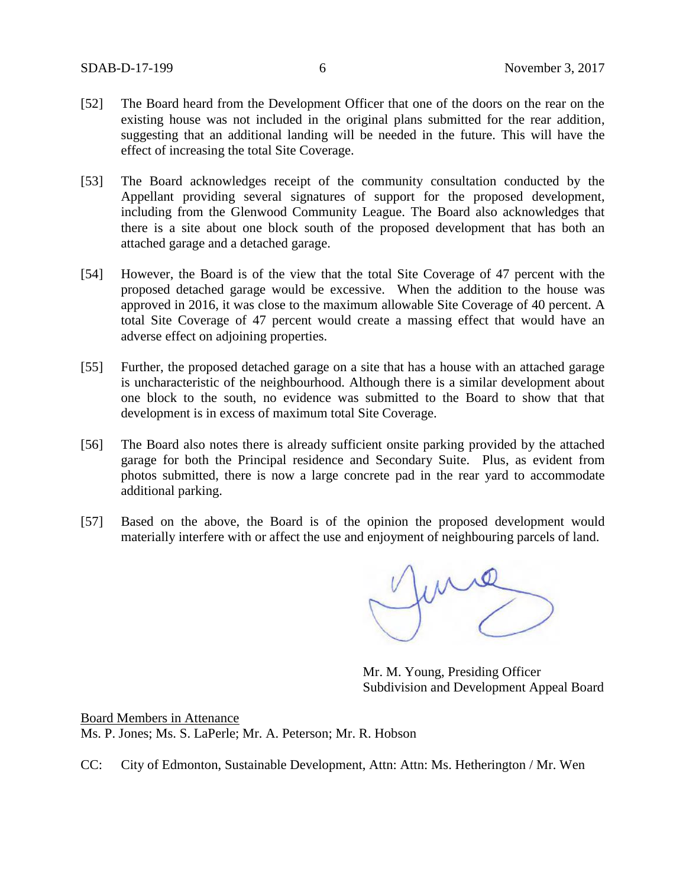- [52] The Board heard from the Development Officer that one of the doors on the rear on the existing house was not included in the original plans submitted for the rear addition, suggesting that an additional landing will be needed in the future. This will have the effect of increasing the total Site Coverage.
- [53] The Board acknowledges receipt of the community consultation conducted by the Appellant providing several signatures of support for the proposed development, including from the Glenwood Community League. The Board also acknowledges that there is a site about one block south of the proposed development that has both an attached garage and a detached garage.
- [54] However, the Board is of the view that the total Site Coverage of 47 percent with the proposed detached garage would be excessive. When the addition to the house was approved in 2016, it was close to the maximum allowable Site Coverage of 40 percent. A total Site Coverage of 47 percent would create a massing effect that would have an adverse effect on adjoining properties.
- [55] Further, the proposed detached garage on a site that has a house with an attached garage is uncharacteristic of the neighbourhood. Although there is a similar development about one block to the south, no evidence was submitted to the Board to show that that development is in excess of maximum total Site Coverage.
- [56] The Board also notes there is already sufficient onsite parking provided by the attached garage for both the Principal residence and Secondary Suite. Plus, as evident from photos submitted, there is now a large concrete pad in the rear yard to accommodate additional parking.
- [57] Based on the above, the Board is of the opinion the proposed development would materially interfere with or affect the use and enjoyment of neighbouring parcels of land.

funny

Mr. M. Young, Presiding Officer Subdivision and Development Appeal Board

Board Members in Attenance Ms. P. Jones; Ms. S. LaPerle; Mr. A. Peterson; Mr. R. Hobson

CC: City of Edmonton, Sustainable Development, Attn: Attn: Ms. Hetherington / Mr. Wen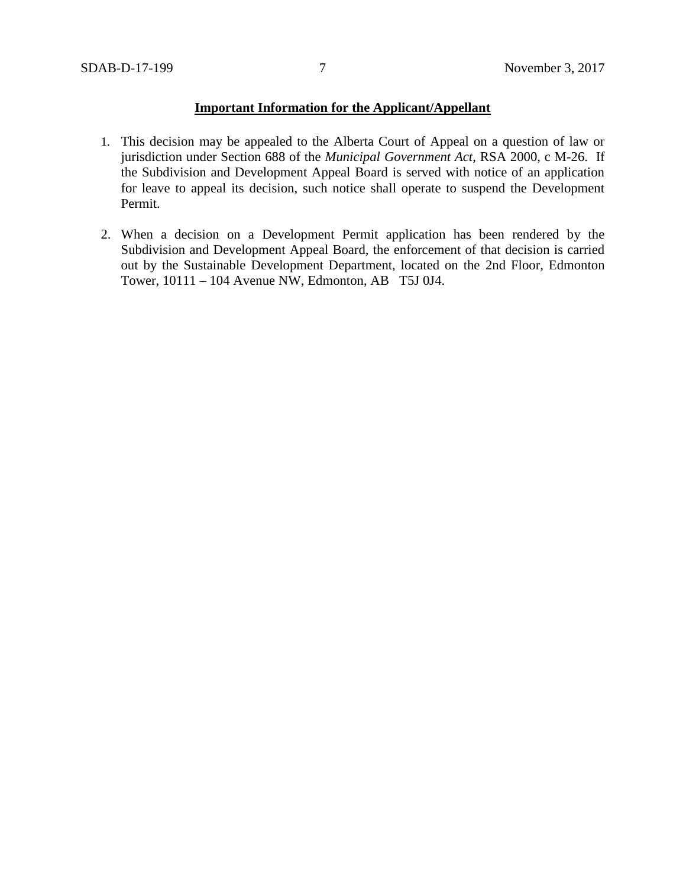## **Important Information for the Applicant/Appellant**

- 1. This decision may be appealed to the Alberta Court of Appeal on a question of law or jurisdiction under Section 688 of the *Municipal Government Act*, RSA 2000, c M-26. If the Subdivision and Development Appeal Board is served with notice of an application for leave to appeal its decision, such notice shall operate to suspend the Development Permit.
- 2. When a decision on a Development Permit application has been rendered by the Subdivision and Development Appeal Board, the enforcement of that decision is carried out by the Sustainable Development Department, located on the 2nd Floor, Edmonton Tower, 10111 – 104 Avenue NW, Edmonton, AB T5J 0J4.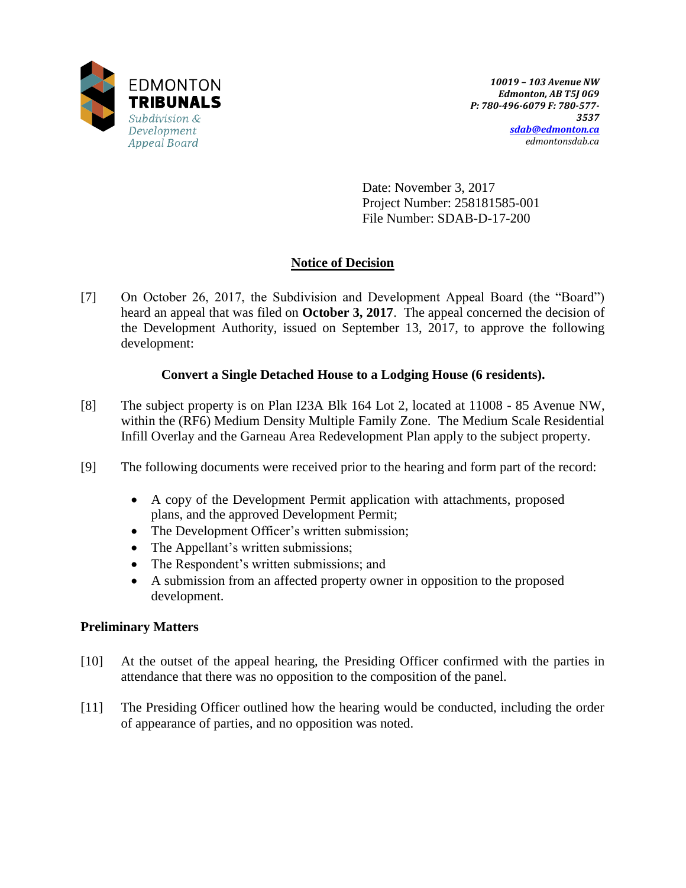

Date: November 3, 2017 Project Number: 258181585-001 File Number: SDAB-D-17-200

# **Notice of Decision**

[7] On October 26, 2017, the Subdivision and Development Appeal Board (the "Board") heard an appeal that was filed on **October 3, 2017**. The appeal concerned the decision of the Development Authority, issued on September 13, 2017, to approve the following development:

# **Convert a Single Detached House to a Lodging House (6 residents).**

- [8] The subject property is on Plan I23A Blk 164 Lot 2, located at 11008 85 Avenue NW, within the (RF6) Medium Density Multiple Family Zone. The Medium Scale Residential Infill Overlay and the Garneau Area Redevelopment Plan apply to the subject property.
- [9] The following documents were received prior to the hearing and form part of the record:
	- A copy of the Development Permit application with attachments, proposed plans, and the approved Development Permit;
	- The Development Officer's written submission;
	- The Appellant's written submissions;
	- The Respondent's written submissions; and
	- A submission from an affected property owner in opposition to the proposed development.

## **Preliminary Matters**

- [10] At the outset of the appeal hearing, the Presiding Officer confirmed with the parties in attendance that there was no opposition to the composition of the panel.
- [11] The Presiding Officer outlined how the hearing would be conducted, including the order of appearance of parties, and no opposition was noted.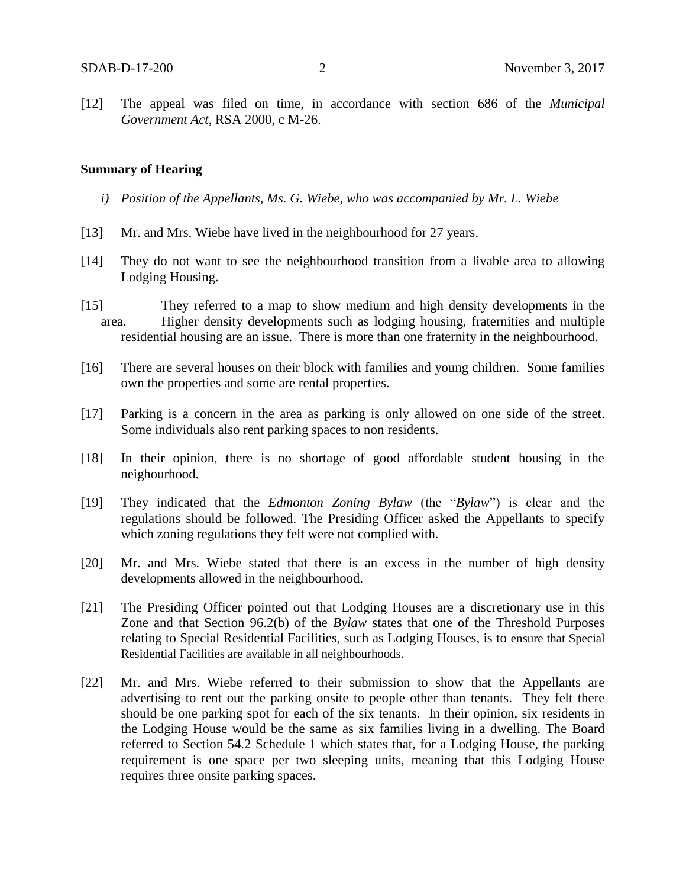[12] The appeal was filed on time, in accordance with section 686 of the *Municipal Government Act*, RSA 2000, c M-26.

#### **Summary of Hearing**

- *i) Position of the Appellants, Ms. G. Wiebe, who was accompanied by Mr. L. Wiebe*
- [13] Mr. and Mrs. Wiebe have lived in the neighbourhood for 27 years.
- [14] They do not want to see the neighbourhood transition from a livable area to allowing Lodging Housing.
- [15] They referred to a map to show medium and high density developments in the area. Higher density developments such as lodging housing, fraternities and multiple residential housing are an issue. There is more than one fraternity in the neighbourhood.
- [16] There are several houses on their block with families and young children. Some families own the properties and some are rental properties.
- [17] Parking is a concern in the area as parking is only allowed on one side of the street. Some individuals also rent parking spaces to non residents.
- [18] In their opinion, there is no shortage of good affordable student housing in the neighourhood.
- [19] They indicated that the *Edmonton Zoning Bylaw* (the "*Bylaw*") is clear and the regulations should be followed. The Presiding Officer asked the Appellants to specify which zoning regulations they felt were not complied with.
- [20] Mr. and Mrs. Wiebe stated that there is an excess in the number of high density developments allowed in the neighbourhood.
- [21] The Presiding Officer pointed out that Lodging Houses are a discretionary use in this Zone and that Section 96.2(b) of the *Bylaw* states that one of the Threshold Purposes relating to Special Residential Facilities, such as Lodging Houses, is to ensure that Special Residential Facilities are available in all neighbourhoods.
- [22] Mr. and Mrs. Wiebe referred to their submission to show that the Appellants are advertising to rent out the parking onsite to people other than tenants. They felt there should be one parking spot for each of the six tenants. In their opinion, six residents in the Lodging House would be the same as six families living in a dwelling. The Board referred to Section 54.2 Schedule 1 which states that, for a Lodging House, the parking requirement is one space per two sleeping units, meaning that this Lodging House requires three onsite parking spaces.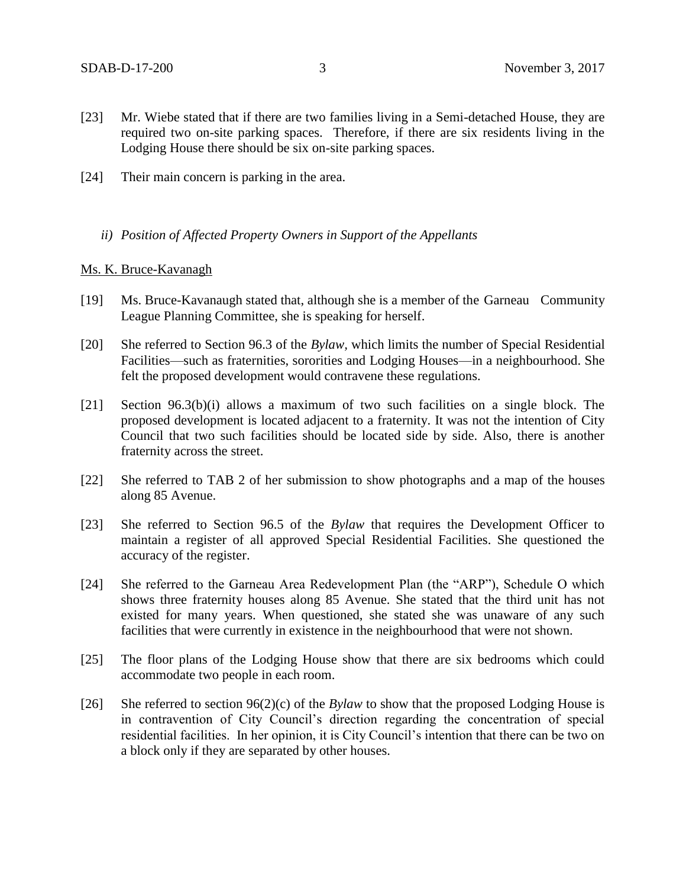- [23] Mr. Wiebe stated that if there are two families living in a Semi-detached House, they are required two on-site parking spaces. Therefore, if there are six residents living in the Lodging House there should be six on-site parking spaces.
- [24] Their main concern is parking in the area.

### *ii) Position of Affected Property Owners in Support of the Appellants*

#### Ms. K. Bruce-Kavanagh

- [19] Ms. Bruce-Kavanaugh stated that, although she is a member of the Garneau Community League Planning Committee, she is speaking for herself.
- [20] She referred to Section 96.3 of the *Bylaw,* which limits the number of Special Residential Facilities—such as fraternities, sororities and Lodging Houses—in a neighbourhood. She felt the proposed development would contravene these regulations.
- [21] Section 96.3(b)(i) allows a maximum of two such facilities on a single block. The proposed development is located adjacent to a fraternity. It was not the intention of City Council that two such facilities should be located side by side. Also, there is another fraternity across the street.
- [22] She referred to TAB 2 of her submission to show photographs and a map of the houses along 85 Avenue.
- [23] She referred to Section 96.5 of the *Bylaw* that requires the Development Officer to maintain a register of all approved Special Residential Facilities. She questioned the accuracy of the register.
- [24] She referred to the Garneau Area Redevelopment Plan (the "ARP"), Schedule O which shows three fraternity houses along 85 Avenue. She stated that the third unit has not existed for many years. When questioned, she stated she was unaware of any such facilities that were currently in existence in the neighbourhood that were not shown.
- [25] The floor plans of the Lodging House show that there are six bedrooms which could accommodate two people in each room.
- [26] She referred to section 96(2)(c) of the *Bylaw* to show that the proposed Lodging House is in contravention of City Council's direction regarding the concentration of special residential facilities. In her opinion, it is City Council's intention that there can be two on a block only if they are separated by other houses.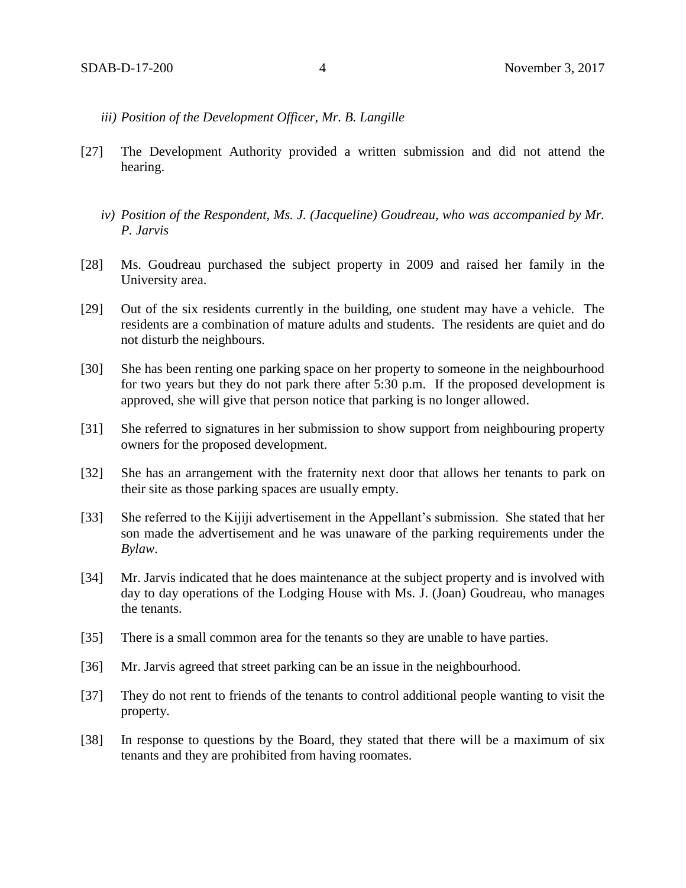- *iii) Position of the Development Officer, Mr. B. Langille*
- [27] The Development Authority provided a written submission and did not attend the hearing.
	- *iv) Position of the Respondent, Ms. J. (Jacqueline) Goudreau, who was accompanied by Mr. P. Jarvis*
- [28] Ms. Goudreau purchased the subject property in 2009 and raised her family in the University area.
- [29] Out of the six residents currently in the building, one student may have a vehicle. The residents are a combination of mature adults and students. The residents are quiet and do not disturb the neighbours.
- [30] She has been renting one parking space on her property to someone in the neighbourhood for two years but they do not park there after 5:30 p.m. If the proposed development is approved, she will give that person notice that parking is no longer allowed.
- [31] She referred to signatures in her submission to show support from neighbouring property owners for the proposed development.
- [32] She has an arrangement with the fraternity next door that allows her tenants to park on their site as those parking spaces are usually empty.
- [33] She referred to the Kijiji advertisement in the Appellant's submission. She stated that her son made the advertisement and he was unaware of the parking requirements under the *Bylaw*.
- [34] Mr. Jarvis indicated that he does maintenance at the subject property and is involved with day to day operations of the Lodging House with Ms. J. (Joan) Goudreau, who manages the tenants.
- [35] There is a small common area for the tenants so they are unable to have parties.
- [36] Mr. Jarvis agreed that street parking can be an issue in the neighbourhood.
- [37] They do not rent to friends of the tenants to control additional people wanting to visit the property.
- [38] In response to questions by the Board, they stated that there will be a maximum of six tenants and they are prohibited from having roomates.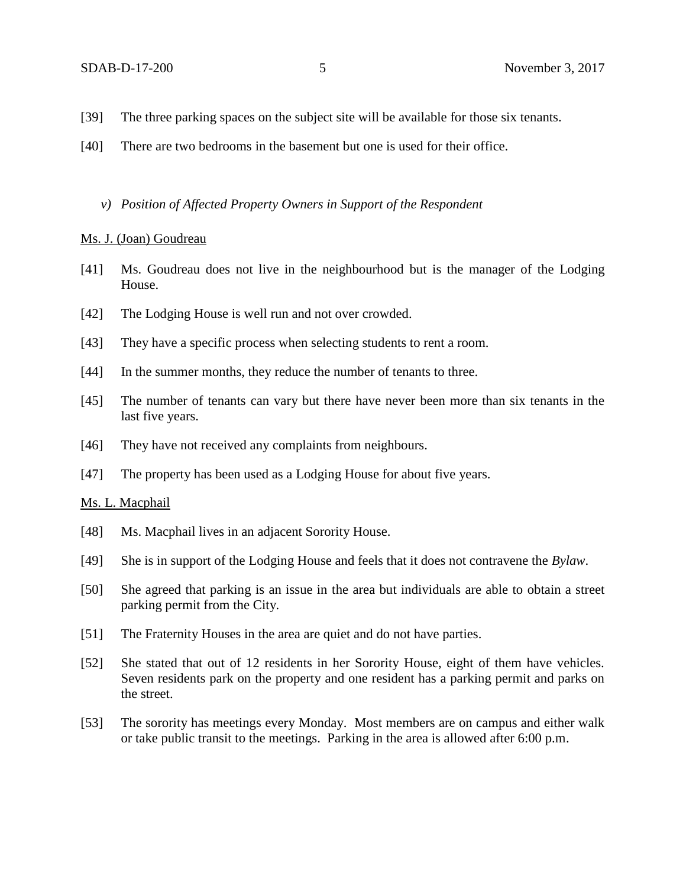- [39] The three parking spaces on the subject site will be available for those six tenants.
- [40] There are two bedrooms in the basement but one is used for their office.
	- *v) Position of Affected Property Owners in Support of the Respondent*

#### Ms. J. (Joan) Goudreau

- [41] Ms. Goudreau does not live in the neighbourhood but is the manager of the Lodging House.
- [42] The Lodging House is well run and not over crowded.
- [43] They have a specific process when selecting students to rent a room.
- [44] In the summer months, they reduce the number of tenants to three.
- [45] The number of tenants can vary but there have never been more than six tenants in the last five years.
- [46] They have not received any complaints from neighbours.
- [47] The property has been used as a Lodging House for about five years.

#### Ms. L. Macphail

- [48] Ms. Macphail lives in an adjacent Sorority House.
- [49] She is in support of the Lodging House and feels that it does not contravene the *Bylaw*.
- [50] She agreed that parking is an issue in the area but individuals are able to obtain a street parking permit from the City.
- [51] The Fraternity Houses in the area are quiet and do not have parties.
- [52] She stated that out of 12 residents in her Sorority House, eight of them have vehicles. Seven residents park on the property and one resident has a parking permit and parks on the street.
- [53] The sorority has meetings every Monday. Most members are on campus and either walk or take public transit to the meetings. Parking in the area is allowed after 6:00 p.m.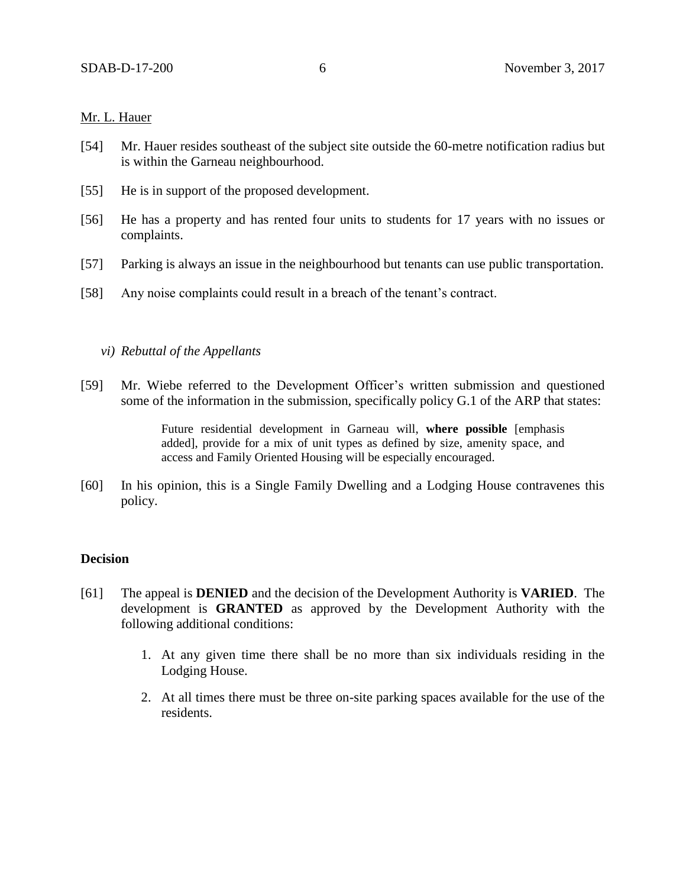## Mr. L. Hauer

- [54] Mr. Hauer resides southeast of the subject site outside the 60-metre notification radius but is within the Garneau neighbourhood.
- [55] He is in support of the proposed development.
- [56] He has a property and has rented four units to students for 17 years with no issues or complaints.
- [57] Parking is always an issue in the neighbourhood but tenants can use public transportation.
- [58] Any noise complaints could result in a breach of the tenant's contract.

### *vi) Rebuttal of the Appellants*

[59] Mr. Wiebe referred to the Development Officer's written submission and questioned some of the information in the submission, specifically policy G.1 of the ARP that states:

> Future residential development in Garneau will, **where possible** [emphasis added], provide for a mix of unit types as defined by size, amenity space, and access and Family Oriented Housing will be especially encouraged.

[60] In his opinion, this is a Single Family Dwelling and a Lodging House contravenes this policy.

#### **Decision**

- [61] The appeal is **DENIED** and the decision of the Development Authority is **VARIED**. The development is **GRANTED** as approved by the Development Authority with the following additional conditions:
	- 1. At any given time there shall be no more than six individuals residing in the Lodging House.
	- 2. At all times there must be three on-site parking spaces available for the use of the residents.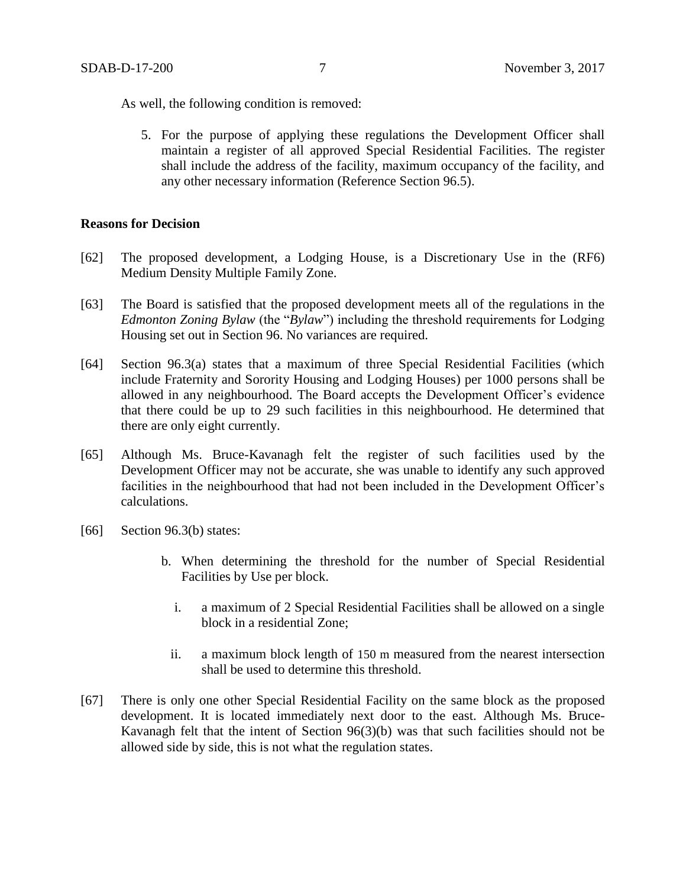As well, the following condition is removed:

5. For the purpose of applying these regulations the Development Officer shall maintain a register of all approved Special Residential Facilities. The register shall include the address of the facility, maximum occupancy of the facility, and any other necessary information (Reference Section 96.5).

### **Reasons for Decision**

- [62] The proposed development, a Lodging House, is a Discretionary Use in the (RF6) Medium Density Multiple Family Zone.
- [63] The Board is satisfied that the proposed development meets all of the regulations in the *Edmonton Zoning Bylaw* (the "*Bylaw*") including the threshold requirements for Lodging Housing set out in Section 96. No variances are required.
- [64] Section 96.3(a) states that a maximum of three Special Residential Facilities (which include Fraternity and Sorority Housing and Lodging Houses) per 1000 persons shall be allowed in any neighbourhood. The Board accepts the Development Officer's evidence that there could be up to 29 such facilities in this neighbourhood. He determined that there are only eight currently.
- [65] Although Ms. Bruce-Kavanagh felt the register of such facilities used by the Development Officer may not be accurate, she was unable to identify any such approved facilities in the neighbourhood that had not been included in the Development Officer's calculations.
- [66] Section 96.3(b) states:
	- b. When determining the threshold for the number of Special Residential Facilities by Use per block.
		- i. a maximum of 2 Special Residential Facilities shall be allowed on a single block in a residential Zone;
		- ii. a maximum block length of [150 m](javascript:void(0);) measured from the nearest intersection shall be used to determine this threshold.
- [67] There is only one other Special Residential Facility on the same block as the proposed development. It is located immediately next door to the east. Although Ms. Bruce-Kavanagh felt that the intent of Section 96(3)(b) was that such facilities should not be allowed side by side, this is not what the regulation states.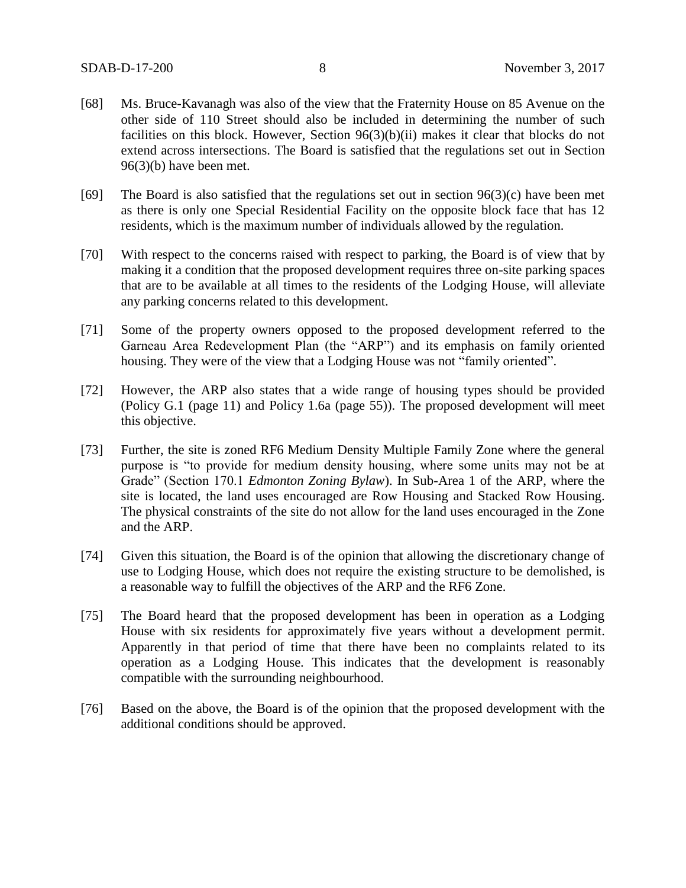- [68] Ms. Bruce-Kavanagh was also of the view that the Fraternity House on 85 Avenue on the other side of 110 Street should also be included in determining the number of such facilities on this block. However, Section 96(3)(b)(ii) makes it clear that blocks do not extend across intersections. The Board is satisfied that the regulations set out in Section 96(3)(b) have been met.
- [69] The Board is also satisfied that the regulations set out in section 96(3)(c) have been met as there is only one Special Residential Facility on the opposite block face that has 12 residents, which is the maximum number of individuals allowed by the regulation.
- [70] With respect to the concerns raised with respect to parking, the Board is of view that by making it a condition that the proposed development requires three on-site parking spaces that are to be available at all times to the residents of the Lodging House, will alleviate any parking concerns related to this development.
- [71] Some of the property owners opposed to the proposed development referred to the Garneau Area Redevelopment Plan (the "ARP") and its emphasis on family oriented housing. They were of the view that a Lodging House was not "family oriented".
- [72] However, the ARP also states that a wide range of housing types should be provided (Policy G.1 (page 11) and Policy 1.6a (page 55)). The proposed development will meet this objective.
- [73] Further, the site is zoned RF6 Medium Density Multiple Family Zone where the general purpose is "to provide for medium density housing, where some units may not be at Grade" (Section 170.1 *Edmonton Zoning Bylaw*). In Sub-Area 1 of the ARP, where the site is located, the land uses encouraged are Row Housing and Stacked Row Housing. The physical constraints of the site do not allow for the land uses encouraged in the Zone and the ARP.
- [74] Given this situation, the Board is of the opinion that allowing the discretionary change of use to Lodging House, which does not require the existing structure to be demolished, is a reasonable way to fulfill the objectives of the ARP and the RF6 Zone.
- [75] The Board heard that the proposed development has been in operation as a Lodging House with six residents for approximately five years without a development permit. Apparently in that period of time that there have been no complaints related to its operation as a Lodging House. This indicates that the development is reasonably compatible with the surrounding neighbourhood.
- [76] Based on the above, the Board is of the opinion that the proposed development with the additional conditions should be approved.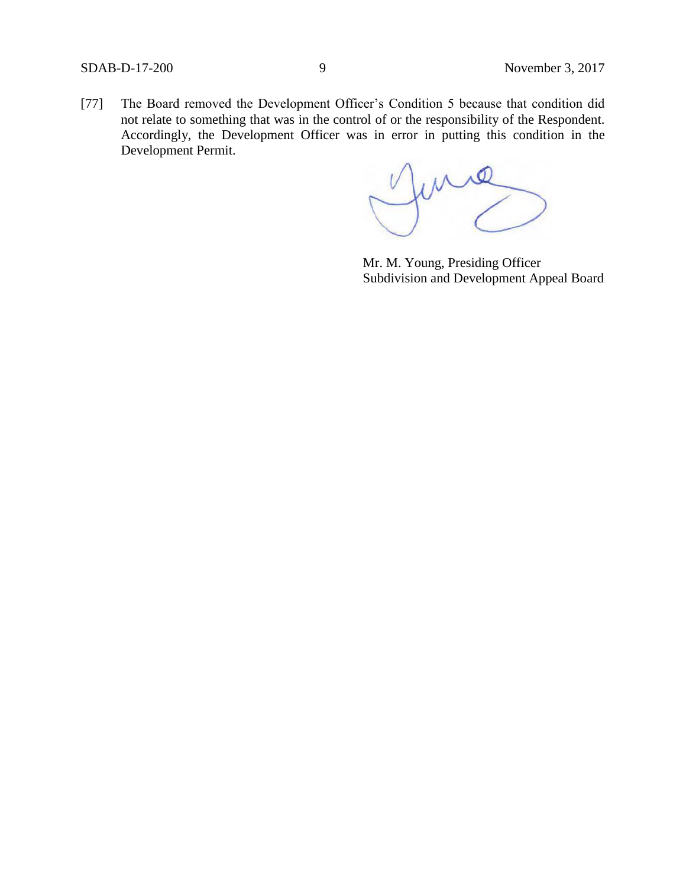[77] The Board removed the Development Officer's Condition 5 because that condition did not relate to something that was in the control of or the responsibility of the Respondent. Accordingly, the Development Officer was in error in putting this condition in the Development Permit.

June

Mr. M. Young, Presiding Officer Subdivision and Development Appeal Board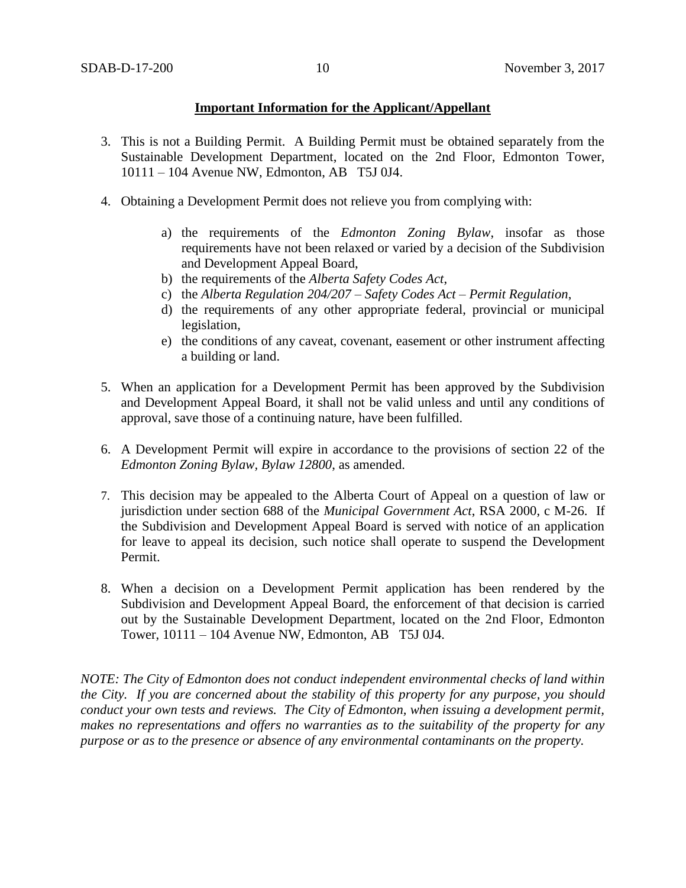## **Important Information for the Applicant/Appellant**

- 3. This is not a Building Permit. A Building Permit must be obtained separately from the Sustainable Development Department, located on the 2nd Floor, Edmonton Tower, 10111 – 104 Avenue NW, Edmonton, AB T5J 0J4.
- 4. Obtaining a Development Permit does not relieve you from complying with:
	- a) the requirements of the *Edmonton Zoning Bylaw*, insofar as those requirements have not been relaxed or varied by a decision of the Subdivision and Development Appeal Board,
	- b) the requirements of the *Alberta Safety Codes Act*,
	- c) the *Alberta Regulation 204/207 – Safety Codes Act – Permit Regulation*,
	- d) the requirements of any other appropriate federal, provincial or municipal legislation,
	- e) the conditions of any caveat, covenant, easement or other instrument affecting a building or land.
- 5. When an application for a Development Permit has been approved by the Subdivision and Development Appeal Board, it shall not be valid unless and until any conditions of approval, save those of a continuing nature, have been fulfilled.
- 6. A Development Permit will expire in accordance to the provisions of section 22 of the *Edmonton Zoning Bylaw, Bylaw 12800*, as amended.
- 7. This decision may be appealed to the Alberta Court of Appeal on a question of law or jurisdiction under section 688 of the *Municipal Government Act*, RSA 2000, c M-26. If the Subdivision and Development Appeal Board is served with notice of an application for leave to appeal its decision, such notice shall operate to suspend the Development Permit.
- 8. When a decision on a Development Permit application has been rendered by the Subdivision and Development Appeal Board, the enforcement of that decision is carried out by the Sustainable Development Department, located on the 2nd Floor, Edmonton Tower, 10111 – 104 Avenue NW, Edmonton, AB T5J 0J4.

*NOTE: The City of Edmonton does not conduct independent environmental checks of land within the City. If you are concerned about the stability of this property for any purpose, you should conduct your own tests and reviews. The City of Edmonton, when issuing a development permit, makes no representations and offers no warranties as to the suitability of the property for any purpose or as to the presence or absence of any environmental contaminants on the property.*